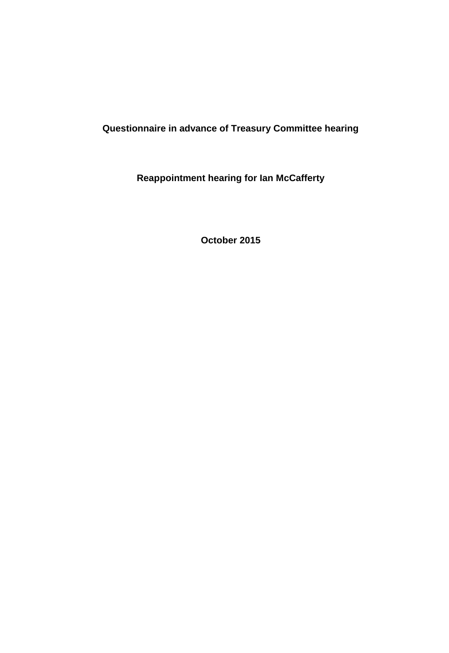# **Questionnaire in advance of Treasury Committee hearing**

**Reappointment hearing for Ian McCafferty**

**October 2015**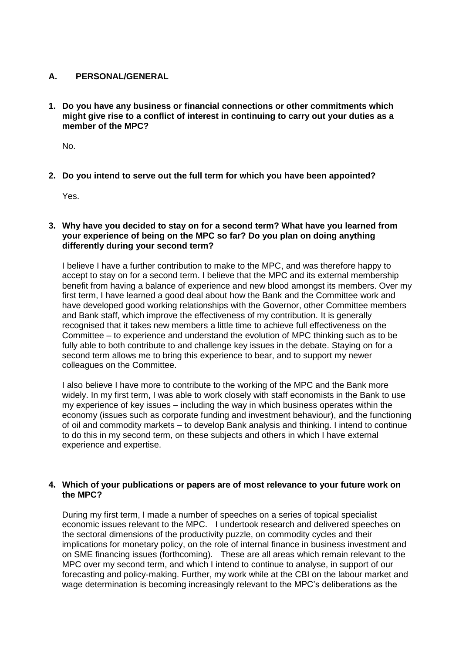## **A. PERSONAL/GENERAL**

**1. Do you have any business or financial connections or other commitments which might give rise to a conflict of interest in continuing to carry out your duties as a member of the MPC?**

No.

**2. Do you intend to serve out the full term for which you have been appointed?**

Yes.

### **3. Why have you decided to stay on for a second term? What have you learned from your experience of being on the MPC so far? Do you plan on doing anything differently during your second term?**

I believe I have a further contribution to make to the MPC, and was therefore happy to accept to stay on for a second term. I believe that the MPC and its external membership benefit from having a balance of experience and new blood amongst its members. Over my first term, I have learned a good deal about how the Bank and the Committee work and have developed good working relationships with the Governor, other Committee members and Bank staff, which improve the effectiveness of my contribution. It is generally recognised that it takes new members a little time to achieve full effectiveness on the Committee – to experience and understand the evolution of MPC thinking such as to be fully able to both contribute to and challenge key issues in the debate. Staying on for a second term allows me to bring this experience to bear, and to support my newer colleagues on the Committee.

I also believe I have more to contribute to the working of the MPC and the Bank more widely. In my first term, I was able to work closely with staff economists in the Bank to use my experience of key issues – including the way in which business operates within the economy (issues such as corporate funding and investment behaviour), and the functioning of oil and commodity markets – to develop Bank analysis and thinking. I intend to continue to do this in my second term, on these subjects and others in which I have external experience and expertise.

### **4. Which of your publications or papers are of most relevance to your future work on the MPC?**

During my first term, I made a number of speeches on a series of topical specialist economic issues relevant to the MPC. I undertook research and delivered speeches on the sectoral dimensions of the productivity puzzle, on commodity cycles and their implications for monetary policy, on the role of internal finance in business investment and on SME financing issues (forthcoming). These are all areas which remain relevant to the MPC over my second term, and which I intend to continue to analyse, in support of our forecasting and policy-making. Further, my work while at the CBI on the labour market and wage determination is becoming increasingly relevant to the MPC's deliberations as the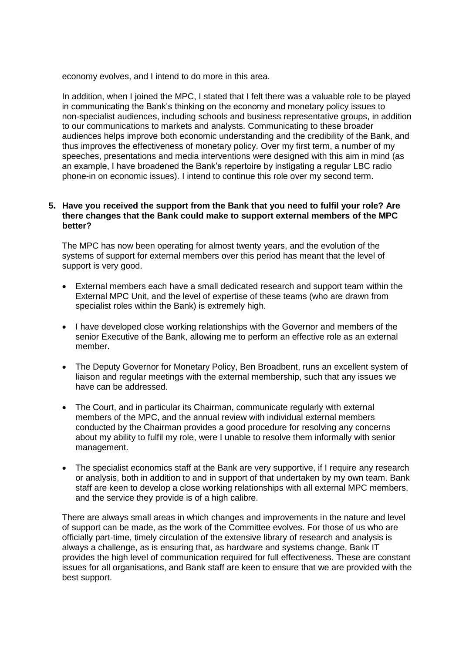economy evolves, and I intend to do more in this area.

In addition, when I joined the MPC, I stated that I felt there was a valuable role to be played in communicating the Bank's thinking on the economy and monetary policy issues to non-specialist audiences, including schools and business representative groups, in addition to our communications to markets and analysts. Communicating to these broader audiences helps improve both economic understanding and the credibility of the Bank, and thus improves the effectiveness of monetary policy. Over my first term, a number of my speeches, presentations and media interventions were designed with this aim in mind (as an example, I have broadened the Bank's repertoire by instigating a regular LBC radio phone-in on economic issues). I intend to continue this role over my second term.

#### **5. Have you received the support from the Bank that you need to fulfil your role? Are there changes that the Bank could make to support external members of the MPC better?**

The MPC has now been operating for almost twenty years, and the evolution of the systems of support for external members over this period has meant that the level of support is very good.

- External members each have a small dedicated research and support team within the External MPC Unit, and the level of expertise of these teams (who are drawn from specialist roles within the Bank) is extremely high.
- I have developed close working relationships with the Governor and members of the senior Executive of the Bank, allowing me to perform an effective role as an external member.
- The Deputy Governor for Monetary Policy, Ben Broadbent, runs an excellent system of liaison and regular meetings with the external membership, such that any issues we have can be addressed.
- The Court, and in particular its Chairman, communicate regularly with external members of the MPC, and the annual review with individual external members conducted by the Chairman provides a good procedure for resolving any concerns about my ability to fulfil my role, were I unable to resolve them informally with senior management.
- The specialist economics staff at the Bank are very supportive, if I require any research or analysis, both in addition to and in support of that undertaken by my own team. Bank staff are keen to develop a close working relationships with all external MPC members, and the service they provide is of a high calibre.

There are always small areas in which changes and improvements in the nature and level of support can be made, as the work of the Committee evolves. For those of us who are officially part-time, timely circulation of the extensive library of research and analysis is always a challenge, as is ensuring that, as hardware and systems change, Bank IT provides the high level of communication required for full effectiveness. These are constant issues for all organisations, and Bank staff are keen to ensure that we are provided with the best support.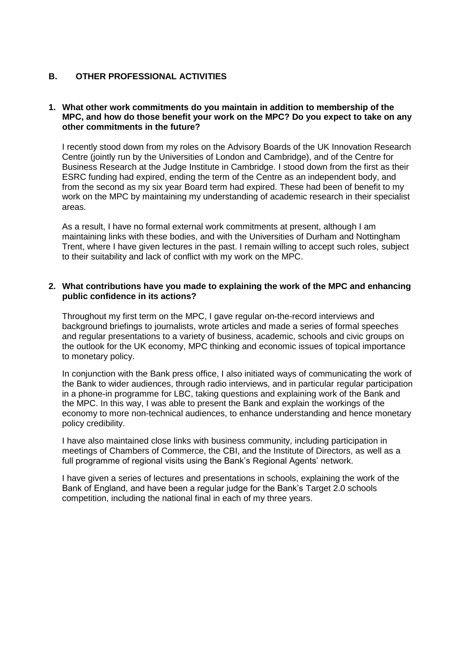# **B. OTHER PROFESSIONAL ACTIVITIES**

### **1. What other work commitments do you maintain in addition to membership of the MPC, and how do those benefit your work on the MPC? Do you expect to take on any other commitments in the future?**

I recently stood down from my roles on the Advisory Boards of the UK Innovation Research Centre (jointly run by the Universities of London and Cambridge), and of the Centre for Business Research at the Judge Institute in Cambridge. I stood down from the first as their ESRC funding had expired, ending the term of the Centre as an independent body, and from the second as my six year Board term had expired. These had been of benefit to my work on the MPC by maintaining my understanding of academic research in their specialist areas.

As a result, I have no formal external work commitments at present, although I am maintaining links with these bodies, and with the Universities of Durham and Nottingham Trent, where I have given lectures in the past. I remain willing to accept such roles, subject to their suitability and lack of conflict with my work on the MPC.

#### **2. What contributions have you made to explaining the work of the MPC and enhancing public confidence in its actions?**

Throughout my first term on the MPC, I gave regular on-the-record interviews and background briefings to journalists, wrote articles and made a series of formal speeches and regular presentations to a variety of business, academic, schools and civic groups on the outlook for the UK economy, MPC thinking and economic issues of topical importance to monetary policy.

In conjunction with the Bank press office, I also initiated ways of communicating the work of the Bank to wider audiences, through radio interviews, and in particular regular participation in a phone-in programme for LBC, taking questions and explaining work of the Bank and the MPC. In this way, I was able to present the Bank and explain the workings of the economy to more non-technical audiences, to enhance understanding and hence monetary policy credibility.

I have also maintained close links with business community, including participation in meetings of Chambers of Commerce, the CBI, and the Institute of Directors, as well as a full programme of regional visits using the Bank's Regional Agents' network.

I have given a series of lectures and presentations in schools, explaining the work of the Bank of England, and have been a regular judge for the Bank's Target 2.0 schools competition, including the national final in each of my three years.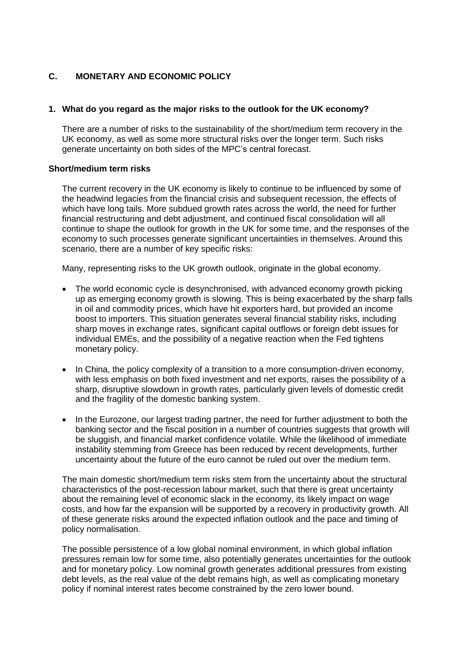# **C. MONETARY AND ECONOMIC POLICY**

### **1. What do you regard as the major risks to the outlook for the UK economy?**

There are a number of risks to the sustainability of the short/medium term recovery in the UK economy, as well as some more structural risks over the longer term. Such risks generate uncertainty on both sides of the MPC's central forecast.

#### **Short/medium term risks**

The current recovery in the UK economy is likely to continue to be influenced by some of the headwind legacies from the financial crisis and subsequent recession, the effects of which have long tails. More subdued growth rates across the world, the need for further financial restructuring and debt adjustment, and continued fiscal consolidation will all continue to shape the outlook for growth in the UK for some time, and the responses of the economy to such processes generate significant uncertainties in themselves. Around this scenario, there are a number of key specific risks:

Many, representing risks to the UK growth outlook, originate in the global economy.

- The world economic cycle is desynchronised, with advanced economy growth picking up as emerging economy growth is slowing. This is being exacerbated by the sharp falls in oil and commodity prices, which have hit exporters hard, but provided an income boost to importers. This situation generates several financial stability risks, including sharp moves in exchange rates, significant capital outflows or foreign debt issues for individual EMEs, and the possibility of a negative reaction when the Fed tightens monetary policy.
- In China, the policy complexity of a transition to a more consumption-driven economy, with less emphasis on both fixed investment and net exports, raises the possibility of a sharp, disruptive slowdown in growth rates, particularly given levels of domestic credit and the fragility of the domestic banking system.
- In the Eurozone, our largest trading partner, the need for further adjustment to both the banking sector and the fiscal position in a number of countries suggests that growth will be sluggish, and financial market confidence volatile. While the likelihood of immediate instability stemming from Greece has been reduced by recent developments, further uncertainty about the future of the euro cannot be ruled out over the medium term.

The main domestic short/medium term risks stem from the uncertainty about the structural characteristics of the post-recession labour market, such that there is great uncertainty about the remaining level of economic slack in the economy, its likely impact on wage costs, and how far the expansion will be supported by a recovery in productivity growth. All of these generate risks around the expected inflation outlook and the pace and timing of policy normalisation.

The possible persistence of a low global nominal environment, in which global inflation pressures remain low for some time, also potentially generates uncertainties for the outlook and for monetary policy. Low nominal growth generates additional pressures from existing debt levels, as the real value of the debt remains high, as well as complicating monetary policy if nominal interest rates become constrained by the zero lower bound.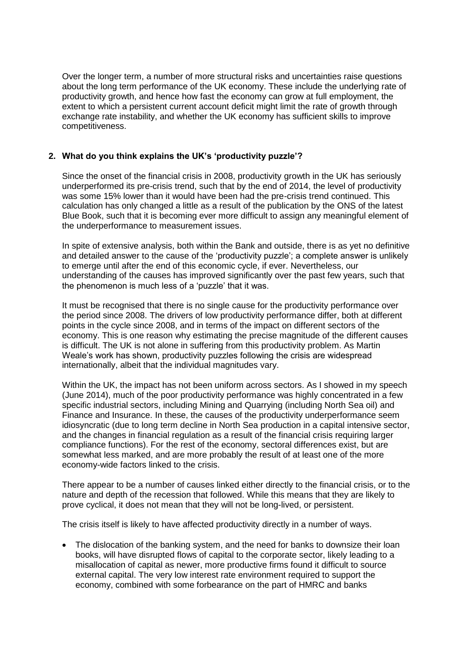Over the longer term, a number of more structural risks and uncertainties raise questions about the long term performance of the UK economy. These include the underlying rate of productivity growth, and hence how fast the economy can grow at full employment, the extent to which a persistent current account deficit might limit the rate of growth through exchange rate instability, and whether the UK economy has sufficient skills to improve competitiveness.

### **2. What do you think explains the UK's 'productivity puzzle'?**

Since the onset of the financial crisis in 2008, productivity growth in the UK has seriously underperformed its pre-crisis trend, such that by the end of 2014, the level of productivity was some 15% lower than it would have been had the pre-crisis trend continued. This calculation has only changed a little as a result of the publication by the ONS of the latest Blue Book, such that it is becoming ever more difficult to assign any meaningful element of the underperformance to measurement issues.

In spite of extensive analysis, both within the Bank and outside, there is as yet no definitive and detailed answer to the cause of the 'productivity puzzle'; a complete answer is unlikely to emerge until after the end of this economic cycle, if ever. Nevertheless, our understanding of the causes has improved significantly over the past few years, such that the phenomenon is much less of a 'puzzle' that it was.

It must be recognised that there is no single cause for the productivity performance over the period since 2008. The drivers of low productivity performance differ, both at different points in the cycle since 2008, and in terms of the impact on different sectors of the economy. This is one reason why estimating the precise magnitude of the different causes is difficult. The UK is not alone in suffering from this productivity problem. As Martin Weale's work has shown, productivity puzzles following the crisis are widespread internationally, albeit that the individual magnitudes vary.

Within the UK, the impact has not been uniform across sectors. As I showed in my speech (June 2014), much of the poor productivity performance was highly concentrated in a few specific industrial sectors, including Mining and Quarrying (including North Sea oil) and Finance and Insurance. In these, the causes of the productivity underperformance seem idiosyncratic (due to long term decline in North Sea production in a capital intensive sector, and the changes in financial regulation as a result of the financial crisis requiring larger compliance functions). For the rest of the economy, sectoral differences exist, but are somewhat less marked, and are more probably the result of at least one of the more economy-wide factors linked to the crisis.

There appear to be a number of causes linked either directly to the financial crisis, or to the nature and depth of the recession that followed. While this means that they are likely to prove cyclical, it does not mean that they will not be long-lived, or persistent.

The crisis itself is likely to have affected productivity directly in a number of ways.

• The dislocation of the banking system, and the need for banks to downsize their loan books, will have disrupted flows of capital to the corporate sector, likely leading to a misallocation of capital as newer, more productive firms found it difficult to source external capital. The very low interest rate environment required to support the economy, combined with some forbearance on the part of HMRC and banks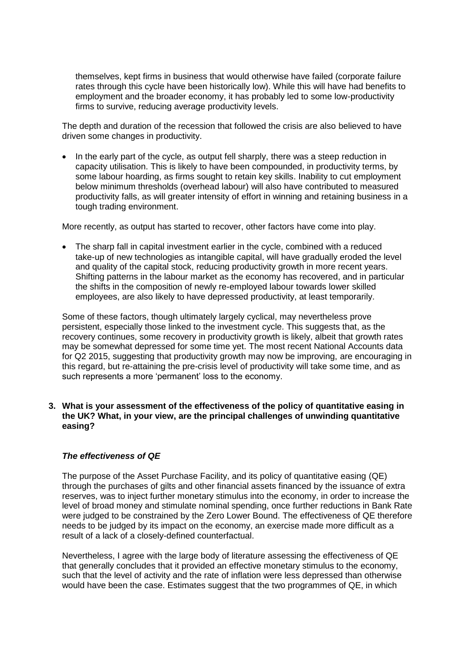themselves, kept firms in business that would otherwise have failed (corporate failure rates through this cycle have been historically low). While this will have had benefits to employment and the broader economy, it has probably led to some low-productivity firms to survive, reducing average productivity levels.

The depth and duration of the recession that followed the crisis are also believed to have driven some changes in productivity.

 In the early part of the cycle, as output fell sharply, there was a steep reduction in capacity utilisation. This is likely to have been compounded, in productivity terms, by some labour hoarding, as firms sought to retain key skills. Inability to cut employment below minimum thresholds (overhead labour) will also have contributed to measured productivity falls, as will greater intensity of effort in winning and retaining business in a tough trading environment.

More recently, as output has started to recover, other factors have come into play.

• The sharp fall in capital investment earlier in the cycle, combined with a reduced take-up of new technologies as intangible capital, will have gradually eroded the level and quality of the capital stock, reducing productivity growth in more recent years. Shifting patterns in the labour market as the economy has recovered, and in particular the shifts in the composition of newly re-employed labour towards lower skilled employees, are also likely to have depressed productivity, at least temporarily.

Some of these factors, though ultimately largely cyclical, may nevertheless prove persistent, especially those linked to the investment cycle. This suggests that, as the recovery continues, some recovery in productivity growth is likely, albeit that growth rates may be somewhat depressed for some time yet. The most recent National Accounts data for Q2 2015, suggesting that productivity growth may now be improving, are encouraging in this regard, but re-attaining the pre-crisis level of productivity will take some time, and as such represents a more 'permanent' loss to the economy.

### **3. What is your assessment of the effectiveness of the policy of quantitative easing in the UK? What, in your view, are the principal challenges of unwinding quantitative easing?**

### *The effectiveness of QE*

The purpose of the Asset Purchase Facility, and its policy of quantitative easing (QE) through the purchases of gilts and other financial assets financed by the issuance of extra reserves, was to inject further monetary stimulus into the economy, in order to increase the level of broad money and stimulate nominal spending, once further reductions in Bank Rate were judged to be constrained by the Zero Lower Bound. The effectiveness of QE therefore needs to be judged by its impact on the economy, an exercise made more difficult as a result of a lack of a closely-defined counterfactual.

Nevertheless, I agree with the large body of literature assessing the effectiveness of QE that generally concludes that it provided an effective monetary stimulus to the economy, such that the level of activity and the rate of inflation were less depressed than otherwise would have been the case. Estimates suggest that the two programmes of QE, in which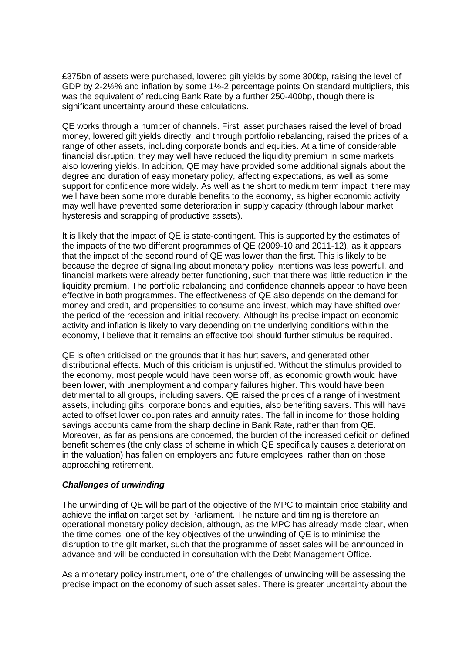£375bn of assets were purchased, lowered gilt yields by some 300bp, raising the level of GDP by 2-2½% and inflation by some 1½-2 percentage points On standard multipliers, this was the equivalent of reducing Bank Rate by a further 250-400bp, though there is significant uncertainty around these calculations.

QE works through a number of channels. First, asset purchases raised the level of broad money, lowered gilt yields directly, and through portfolio rebalancing, raised the prices of a range of other assets, including corporate bonds and equities. At a time of considerable financial disruption, they may well have reduced the liquidity premium in some markets, also lowering yields. In addition, QE may have provided some additional signals about the degree and duration of easy monetary policy, affecting expectations, as well as some support for confidence more widely. As well as the short to medium term impact, there may well have been some more durable benefits to the economy, as higher economic activity may well have prevented some deterioration in supply capacity (through labour market hysteresis and scrapping of productive assets).

It is likely that the impact of QE is state-contingent. This is supported by the estimates of the impacts of the two different programmes of QE (2009-10 and 2011-12), as it appears that the impact of the second round of QE was lower than the first. This is likely to be because the degree of signalling about monetary policy intentions was less powerful, and financial markets were already better functioning, such that there was little reduction in the liquidity premium. The portfolio rebalancing and confidence channels appear to have been effective in both programmes. The effectiveness of QE also depends on the demand for money and credit, and propensities to consume and invest, which may have shifted over the period of the recession and initial recovery. Although its precise impact on economic activity and inflation is likely to vary depending on the underlying conditions within the economy, I believe that it remains an effective tool should further stimulus be required.

QE is often criticised on the grounds that it has hurt savers, and generated other distributional effects. Much of this criticism is unjustified. Without the stimulus provided to the economy, most people would have been worse off, as economic growth would have been lower, with unemployment and company failures higher. This would have been detrimental to all groups, including savers. QE raised the prices of a range of investment assets, including gilts, corporate bonds and equities, also benefiting savers. This will have acted to offset lower coupon rates and annuity rates. The fall in income for those holding savings accounts came from the sharp decline in Bank Rate, rather than from QE. Moreover, as far as pensions are concerned, the burden of the increased deficit on defined benefit schemes (the only class of scheme in which QE specifically causes a deterioration in the valuation) has fallen on employers and future employees, rather than on those approaching retirement.

### *Challenges of unwinding*

The unwinding of QE will be part of the objective of the MPC to maintain price stability and achieve the inflation target set by Parliament. The nature and timing is therefore an operational monetary policy decision, although, as the MPC has already made clear, when the time comes, one of the key objectives of the unwinding of QE is to minimise the disruption to the gilt market, such that the programme of asset sales will be announced in advance and will be conducted in consultation with the Debt Management Office.

As a monetary policy instrument, one of the challenges of unwinding will be assessing the precise impact on the economy of such asset sales. There is greater uncertainty about the